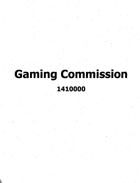## **Gaming Commission**

## **1410000**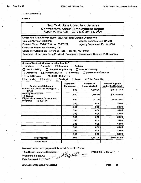*(*

AC 3272-S (Effective 4/12)

## FORM B

| <b>New York State Consultant Services</b><br><b>Contractor's Annual Employment Report</b><br>Report Period: April 1, 2019 to March 31, 2020                                                                                                                                                                                                                                                                                                |                   |                     |                              |  |
|--------------------------------------------------------------------------------------------------------------------------------------------------------------------------------------------------------------------------------------------------------------------------------------------------------------------------------------------------------------------------------------------------------------------------------------------|-------------------|---------------------|------------------------------|--|
| Contracting State Agency Name: New York state Gaming Commission<br>Contract Number: C150018<br><b>Agency Business Unit: GAM01</b><br>Contract Term: 03/28/2016 to 03/27/2021<br>Agency Department ID: 1410000<br>Contractor Name: TruView BSI, LLC.<br>Contractor Address: 25 Newbridge Road, Hicksville, NY 11801<br>Description of Services Being Provided: Background Investigation Services-VLG Licenses.                              |                   |                     |                              |  |
| Scope of Contract (Choose one that best fits):<br>$\Box$ Evaluation<br><b>∶⊟ Research</b><br>Training<br>∏ Analysis<br>Other IT consulting<br>Data Processing<br>Computer Programming<br>$\Box$ Environmental Services<br>Engineering<br>Architect Services<br>$\Box$ Surveving<br><b>Health Services</b><br>□ Mental Health Services<br>Accounting<br>$\Box$ Auditing<br>$\Box$ Paralegal<br>$\Box$ Legal<br>$\boxtimes$ Other Consulting |                   |                     |                              |  |
|                                                                                                                                                                                                                                                                                                                                                                                                                                            | Number of         | Number of           | <b>Amount Pavable</b>        |  |
| <b>Employment Category</b>                                                                                                                                                                                                                                                                                                                                                                                                                 | <b>Employees</b>  | <b>Hours Worked</b> | <b>Under the Contract</b>    |  |
| General and Operations Managers                                                                                                                                                                                                                                                                                                                                                                                                            | 1.00              | 1,560.00            | \$153,611.59                 |  |
| 11-1021.00<br>9Survey Researchers<br>19-3022.00                                                                                                                                                                                                                                                                                                                                                                                            | 3.00              | 1,656.00            | \$163,064.60                 |  |
| <b>Eligibility Interviewers, Government</b><br>43-4061.00<br>Programs                                                                                                                                                                                                                                                                                                                                                                      | 1.00 <sub>1</sub> | 441.00              | \$43.424.81                  |  |
|                                                                                                                                                                                                                                                                                                                                                                                                                                            | 0.00              | 0.00                | \$0.00                       |  |
|                                                                                                                                                                                                                                                                                                                                                                                                                                            | 0.00              | 0.00                | \$0.00                       |  |
|                                                                                                                                                                                                                                                                                                                                                                                                                                            | 0.00              | 0.00                | $\mathbf{r}^{(1)}$<br>\$0.00 |  |
|                                                                                                                                                                                                                                                                                                                                                                                                                                            | 0.00              | 0.00                | \$0.00                       |  |
|                                                                                                                                                                                                                                                                                                                                                                                                                                            | 0.00              | 0.00                | \$0.00                       |  |
|                                                                                                                                                                                                                                                                                                                                                                                                                                            | 0.00              | 0.00                | \$0.00                       |  |
|                                                                                                                                                                                                                                                                                                                                                                                                                                            | 0.00              | 0.00                | \$0.00                       |  |
|                                                                                                                                                                                                                                                                                                                                                                                                                                            | 0.00              | 0.00                | \$0.00                       |  |
|                                                                                                                                                                                                                                                                                                                                                                                                                                            | 0.00              | 0.00                | \$0.00                       |  |
|                                                                                                                                                                                                                                                                                                                                                                                                                                            | 0.00              | 0.00                | \$0.00                       |  |
| <b>Total this Page</b>                                                                                                                                                                                                                                                                                                                                                                                                                     | 5.00              | 3,657.00            | \$360,101.00                 |  |

Name of person who prepared this report: Jacqueline Petrow

Title:- Human Resources Coordinator Preparer's Signature:

Date Prepared: 05/12/20.20

Phone #: 516-289-0277

(Use additional pages, if necessary) example of the example of the example of the example of the example of the example of the example of the example of the example of the example of the example of the example of the examp